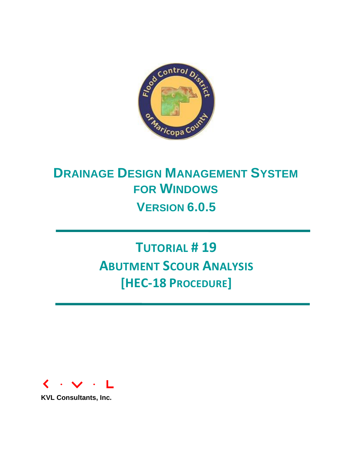

# **DRAINAGE DESIGN MANAGEMENT SYSTEM FOR WINDOWS VERSION 6.0.5**

# **TUTORIAL # 19 ABUTMENT SCOUR ANALYSIS [HEC-18 PROCEDURE]**



**KVL Consultants, Inc.**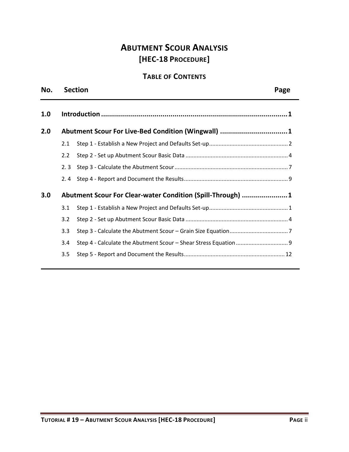# **ABUTMENT SCOUR ANALYSIS [HEC-18 PROCEDURE]**

# **TABLE OF CONTENTS**

| No. |     | <b>Section</b>                                             | Page |
|-----|-----|------------------------------------------------------------|------|
| 1.0 |     |                                                            |      |
| 2.0 |     | Abutment Scour For Live-Bed Condition (Wingwall) 1         |      |
|     | 2.1 |                                                            |      |
|     | 2.2 |                                                            |      |
|     | 2.3 |                                                            |      |
|     | 2.4 |                                                            |      |
| 3.0 |     | Abutment Scour For Clear-water Condition (Spill-Through) 1 |      |
|     | 3.1 |                                                            |      |
|     | 3.2 |                                                            |      |
|     | 3.3 |                                                            |      |
|     | 3.4 |                                                            |      |
|     | 3.5 |                                                            |      |
|     |     |                                                            |      |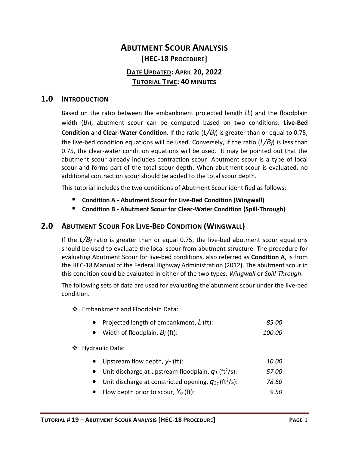# **ABUTMENT SCOUR ANALYSIS [HEC-18 PROCEDURE] DATE UPDATED: APRIL 20, 2022 TUTORIAL TIME: 40 MINUTES**

#### <span id="page-2-0"></span>**1.0 INTRODUCTION**

Based on the ratio between the embankment projected length (*L*) and the floodplain width (*Bf*), abutment scour can be computed based on two conditions: **Live-Bed Condition** and **Clear-Water Condition**. If the ratio (*L/Bf*) is greater than or equal to 0.75, the live-bed condition equations will be used. Conversely, if the ratio (*L/Bf*) is less than 0.75, the clear-water condition equations will be used. It may be pointed out that the abutment scour already includes contraction scour. Abutment scour is a type of local scour and forms part of the total scour depth. When abutment scour is evaluated, no additional contraction scour should be added to the total scour depth.

This tutorial includes the two conditions of Abutment Scour identified as follows:

- **Condition A - Abutment Scour for Live-Bed Condition (Wingwall)**
- Condition B Abutment Scour for Clear-Water Condition (Spill-Through)

## <span id="page-2-1"></span>**2.0 ABUTMENT SCOUR FOR LIVE-BED CONDITION (WINGWALL)**

If the *L/B<sup>f</sup>* ratio is greater than or equal 0.75, the live-bed abutment scour equations should be used to evaluate the local scour from abutment structure. The procedure for evaluating Abutment Scour for live-bed conditions, also referred as **Condition A**, is from the HEC-18 Manual of the Federal Highway Administration (2012). The abutment scour in this condition could be evaluated in either of the two types: *Wingwall* or *Spill-Through*.

The following sets of data are used for evaluating the abutment scour under the live-bed condition.

- ❖ Embankment and Floodplain Data:
	- Projected length of embankment, *L* (ft): *85.00*
	- Width of floodplain, *B<sup>f</sup>* (ft): *100.00*

#### ❖ Hydraulic Data:

- Upstream flow depth, *y<sup>1</sup>* (ft): *10.00*
- Unit discharge at upstream floodplain,  $q_1$  (ft<sup>2</sup>/s): /s): *57.00*
- Unit discharge at constricted opening,  $q_{2c}$  (ft<sup>2</sup>/s): /s): *78.60*
- Flow depth prior to scour, *Y<sup>o</sup>* (ft): *9.50*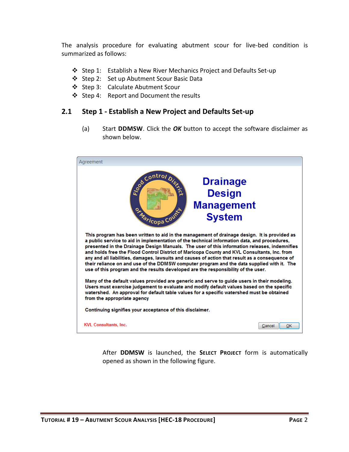The analysis procedure for evaluating abutment scour for live-bed condition is summarized as follows:

- ❖ Step 1: Establish a New River Mechanics Project and Defaults Set-up
- ❖ Step 2: Set up Abutment Scour Basic Data
- ❖ Step 3: Calculate Abutment Scour
- ❖ Step 4: Report and Document the results

#### <span id="page-3-0"></span>**2.1 Step 1 - Establish a New Project and Defaults Set-up**

(a) Start **DDMSW**. Click the *OK* button to accept the software disclaimer as shown below.



After **DDMSW** is launched, the **SELECT PROJECT** form is automatically opened as shown in the following figure.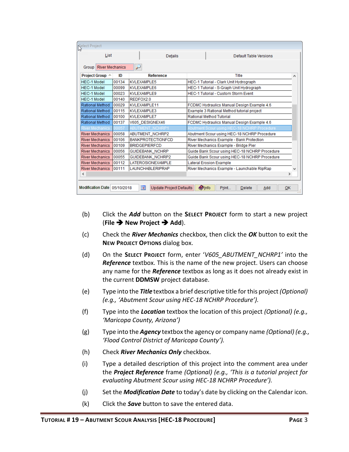| Select Project                  |        |                                                            |                                                     |
|---------------------------------|--------|------------------------------------------------------------|-----------------------------------------------------|
| List                            |        | <b>Details</b>                                             | Default Table Versions                              |
| <b>River Mechanics</b><br>Group |        | $\overline{\smash{\rightarrow}}$                           |                                                     |
| Project Group A                 | ID     | <b>Reference</b>                                           | Title<br>۸                                          |
| <b>HEC-1 Model</b>              | 00134  | KVLEXAMPLE5                                                | HEC-1 Tutorial - Clark Unit Hydrograph              |
| <b>HEC-1 Model</b>              | 00099  | KVLEXAMPLE6                                                | HEC-1 Tutorial - S-Graph Unit Hydrograph            |
| <b>HEC-1 Model</b>              | 00023  | KVLEXAMPLE9                                                | <b>HEC-1 Tutorial - Custom Storm Event</b>          |
| <b>HEC-1 Model</b>              | 00140  | REDFOX2.0                                                  |                                                     |
| Rational Method                 | 00029  | KVLEXAMPLE11                                               | FCDMC Hydraulics Manual Design Example 4.6          |
| Rational Method                 | 00115  | KVLEXAMPLE3                                                | Example 3 Rational Method tutorial project          |
| Rational Method                 | 00100  | <b>KVLEXAMPLE7</b>                                         | Rational Method Tutorial                            |
| Rational Method                 | 00137  | V605 DESIGNEX46                                            | FCDMC Hydraulics Manual Design Example 4.6          |
| <b>River Mechanics</b>          | 00057  | <b>ABUTMENT NCHRP1</b>                                     | Abutment Scour using HEC-18 NCHRP Procedure         |
| <b>River Mechanics</b>          | 100058 | <b>ABUTMENT NCHRP2</b>                                     | Abutment Scour using HEC-18 NCHRP Procedure         |
| <b>River Mechanics</b>          | 00106  | <b>BANKPROTECTIONFCD</b>                                   | River Mechanics Example - Bank Protection           |
| <b>River Mechanics</b>          | 00109  | <b>BRIDGEPIERFCD</b>                                       | River Mechanics Example - Bridge Pier               |
| <b>River Mechanics</b>          | 00056  | <b>GUIDEBANK NCHRP</b>                                     | Guide Bank Scour using HEC-18 NCHRP Procedure       |
| <b>River Mechanics</b>          | 00055  | GUIDEBANK_NCHRP2                                           | Guide Bank Scour using HEC-18 NCHRP Procedure       |
| <b>River Mechanics</b>          | 00112  | <b>LATEROSIONEXAMPLE</b>                                   | <b>Lateral Erosion Example</b>                      |
| River Mechanics 00111           |        | <b>LAUNCHABLERIPRAP</b>                                    | River Mechanics Example - Launchable RipRap         |
| ∢                               |        |                                                            | $\rightarrow$                                       |
| Modification Date 05/10/2018    |        | $\overline{\phantom{a}}$<br><b>Update Project Defaults</b> | <b>Olnfo</b><br>Print<br><b>Delete</b><br>Add<br>OK |

- (b) Click the *Add* button on the **SELECT PROJECT** form to start a new project (**File** ➔ **New Project** ➔ **Add**).
- (c) Check the *River Mechanics* checkbox, then click the *OK* button to exit the **NEW PROJECT OPTIONS** dialog box.
- (d) On the **SELECT PROJECT** form, enter '*V605\_ABUTMENT\_NCHRP1'* into the *Reference* textbox. This is the name of the new project. Users can choose any name for the *Reference* textbox as long as it does not already exist in the current **DDMSW** project database.
- (e) Type into the *Title* textbox a brief descriptive title forthis project *(Optional) (e.g., 'Abutment Scour using HEC-18 NCHRP Procedure').*
- (f) Type into the *Location* textbox the location of this project *(Optional) (e.g., 'Maricopa County, Arizona')*
- (g) Type into the *Agency* textbox the agency or company name *(Optional) (e.g., 'Flood Control District of Maricopa County').*
- (h) Check *River Mechanics Only* checkbox.
- (i) Type a detailed description of this project into the comment area under the *Project Reference* frame *(Optional) (e.g., 'This is a tutorial project for evaluating Abutment Scour using HEC-18 NCHRP Procedure').*
- (j) Set the *Modification Date* to today's date by clicking on the Calendar icon.
- (k) Click the *Save* button to save the entered data.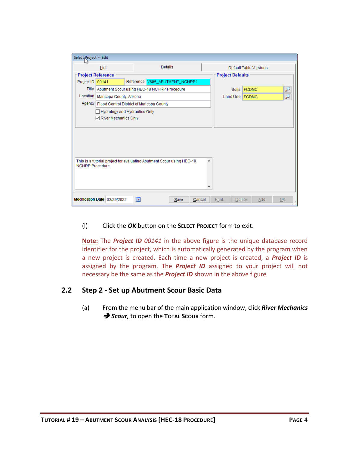| Select Project -- Edit |                                                                            |    |         |                                |        |                         |                        |     |           |                          |
|------------------------|----------------------------------------------------------------------------|----|---------|--------------------------------|--------|-------------------------|------------------------|-----|-----------|--------------------------|
|                        | List                                                                       |    | Details |                                |        |                         | Default Table Versions |     |           |                          |
|                        | <b>Project Reference</b>                                                   |    |         |                                |        | <b>Project Defaults</b> |                        |     |           |                          |
| Project ID             | 00141                                                                      |    |         | Reference V605_ABUTMENT_NCHRP1 |        |                         |                        |     |           |                          |
| <b>Title</b>           | Abutment Scour using HEC-18 NCHRP Procedure                                |    |         |                                |        |                         | Soils FCDMC            |     |           | لنو                      |
| Location               | Maricopa County, Arizona                                                   |    |         |                                |        | Land Use   FCDMC        |                        |     |           | $\overline{\phantom{0}}$ |
|                        | Agency   Flood Control District of Maricopa County                         |    |         |                                |        |                         |                        |     |           |                          |
|                        | Hydrology and Hydraulics Only<br>$\sqrt{\phantom{a}}$ River Mechanics Only |    |         |                                |        |                         |                        |     |           |                          |
|                        |                                                                            |    |         |                                |        |                         |                        |     |           |                          |
|                        |                                                                            |    |         |                                |        |                         |                        |     |           |                          |
|                        |                                                                            |    |         |                                |        |                         |                        |     |           |                          |
|                        |                                                                            |    |         |                                |        |                         |                        |     |           |                          |
| <b>NCHRP Procedure</b> | This is a tutorial project for evaluating Abutment Scour using HEC-18      |    |         |                                |        |                         |                        |     |           |                          |
|                        |                                                                            |    |         |                                |        |                         |                        |     |           |                          |
|                        |                                                                            |    |         |                                |        |                         |                        |     |           |                          |
|                        |                                                                            |    |         |                                |        |                         |                        |     |           |                          |
|                        | Modification Date 03/29/2022                                               | T. |         | Save                           | Cancel | Print<br><b>Delete</b>  |                        | Add | <b>OK</b> |                          |

#### (l) Click the *OK* button on the **SELECT PROJECT** form to exit.

**Note:** The *Project ID 00141* in the above figure is the unique database record identifier for the project, which is automatically generated by the program when a new project is created. Each time a new project is created, a *Project ID* is assigned by the program. The *Project ID* assigned to your project will not necessary be the same as the *Project ID* shown in the above figure

#### <span id="page-5-0"></span>**2.2 Step 2 - Set up Abutment Scour Basic Data**

(a) From the menu bar of the main application window, click *River Mechanics* ➔ *Scour,* to open the **TOTAL SCOUR** form.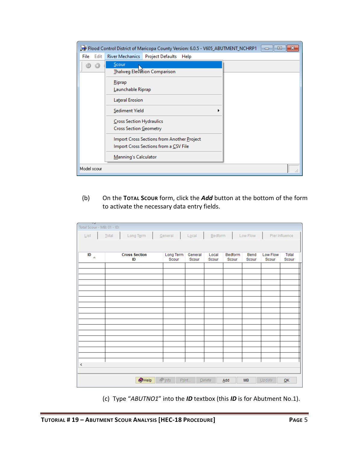|              | Flood Control District of Maricopa County Version: 6.0.5 - V605_ABUTMENT_NCHRP1     | -- 1-9 |
|--------------|-------------------------------------------------------------------------------------|--------|
| Edit<br>File | River Mechanics   Project Defaults<br>Help                                          |        |
|              | Scour<br>Thalweg Elevation Comparison                                               |        |
|              | Riprap<br>Launchable Riprap                                                         |        |
|              | Lateral Erosion                                                                     |        |
|              | Sediment Yield                                                                      |        |
|              | Cross Section Hydraulics<br>Cross Section Geometry                                  |        |
|              | Import Cross Sections from Another Project<br>Import Cross Sections from a CSV File |        |
|              | Manning's Calculator                                                                |        |
| Model scour  |                                                                                     |        |

(b) On the **TOTAL SCOUR** form, click the *Add* button at the bottom of the form to activate the necessary data entry fields.

| ⊸<br>Total Scour - MB: 01 - ID: |                                        |                    |                  |                    |                  |               |                   |                |
|---------------------------------|----------------------------------------|--------------------|------------------|--------------------|------------------|---------------|-------------------|----------------|
| List                            | $\overline{\text{Total}}$<br>Long Term | General            |                  | $Logcal$ $Bedform$ |                  | Low Flow      |                   | Pier Influence |
|                                 |                                        |                    |                  |                    |                  |               |                   |                |
| ID<br>$\Delta$                  | <b>Cross Section</b><br>ID             | Long Term<br>Scour | General<br>Scour | Local<br>Scour     | Bedform<br>Scour | Bend<br>Scour | Low Flow<br>Scour | Total<br>Scour |
|                                 |                                        |                    |                  |                    |                  |               |                   |                |
|                                 |                                        |                    |                  |                    |                  |               |                   |                |
|                                 |                                        |                    |                  |                    |                  |               |                   |                |
|                                 |                                        |                    |                  |                    |                  |               |                   |                |
|                                 |                                        |                    |                  |                    |                  |               |                   |                |
|                                 |                                        |                    |                  |                    |                  |               |                   |                |
|                                 |                                        |                    |                  |                    |                  |               |                   |                |
|                                 |                                        |                    |                  |                    |                  |               |                   |                |
|                                 |                                        |                    |                  |                    |                  |               |                   |                |
|                                 |                                        |                    |                  |                    |                  |               |                   |                |
|                                 |                                        |                    |                  |                    |                  |               |                   |                |
|                                 |                                        |                    |                  |                    |                  |               |                   |                |
| $\,$ $\,$                       |                                        |                    |                  |                    |                  |               |                   |                |
|                                 |                                        |                    |                  |                    |                  |               |                   |                |
|                                 | $\bigcirc$ Help                        | $\sqrt{ln 10}$     | Print            | Delete             | Add              | <b>MB</b>     | Update            | QK             |

(c) Type "*ABUTNO1*" into the *ID* textbox (this *ID* is for Abutment No.1).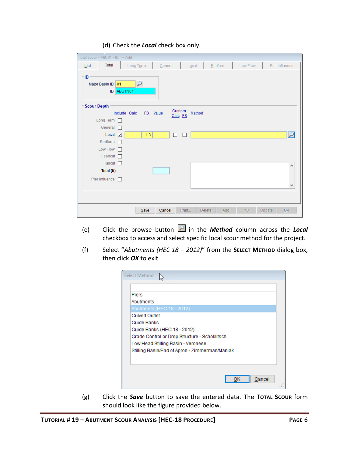#### (d) Check the *Local* check box only.

| ∽<br>Total Scour - MB: 01 - ID: -- Add   |                                              |               |              |                          |
|------------------------------------------|----------------------------------------------|---------------|--------------|--------------------------|
| Total<br>List                            | Long Term<br>$L\underline{o}$ cal<br>General | Bedform       | Low Flow     | Pier Influence           |
| ID<br>Major Basin ID 01<br>ABUTN01<br>ID | $\overline{\phantom{a}}$                     |               |              |                          |
| <b>Scour Depth</b>                       | Custom                                       |               |              |                          |
|                                          | FS Value<br>Include Calc<br>Calc FS          | Method        |              |                          |
| Long Term                                |                                              |               |              |                          |
| General                                  |                                              |               |              |                          |
| Local $\boxed{\triangleright}$           | 1.3<br>□<br>$\mathbf{1}$                     |               |              | $\overline{\phantom{a}}$ |
| Bedform                                  |                                              |               |              |                          |
| Low Flow                                 |                                              |               |              |                          |
| Headcut <sup>[1]</sup>                   |                                              |               |              |                          |
| Tailcut <sub>D</sub>                     |                                              |               |              | ۸                        |
| Total (ft)                               |                                              |               |              |                          |
| Pier Influence                           |                                              |               |              | $\checkmark$             |
|                                          |                                              |               |              |                          |
|                                          |                                              |               |              |                          |
|                                          | Print<br>Save<br>Cancel                      | Add<br>Delete | MB<br>Update | OK                       |

- (e) Click the browse button in the *Method* column across the *Local* checkbox to access and select specific local scour method for the project.
- (f) Select "*Abutments (HEC 18 – 2012)*" from the **SELECT METHOD** dialog box, then click *OK* to exit.

| Select Method                                  |        |
|------------------------------------------------|--------|
|                                                |        |
| <b>Piers</b>                                   |        |
| Abutments                                      |        |
| Abutments (HEC 18 - 2012)                      |        |
| <b>Culvert Outlet</b>                          |        |
| Guide Banks                                    |        |
| Guide Banks (HEC 18 - 2012)                    |        |
| Grade Control or Drop Structure - Schoklitsch  |        |
| Low Head Stilling Basin - Veronese             |        |
| Stilling Basin/End of Apron - Zimmerman/Maniak |        |
|                                                |        |
|                                                |        |
|                                                |        |
|                                                | Cancel |
|                                                |        |

(g) Click the *Save* button to save the entered data. The **TOTAL SCOUR** form should look like the figure provided below.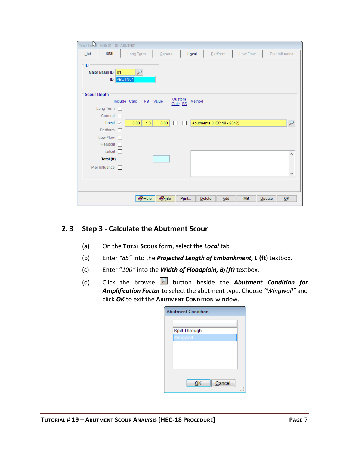|      | Total Scool - MB: 01 - ID: ABUTN01 |            |              |                |               |         |       |        |                           |     |           |        |                          |
|------|------------------------------------|------------|--------------|----------------|---------------|---------|-------|--------|---------------------------|-----|-----------|--------|--------------------------|
| List | Total                              |            | Long Term    |                | General       |         |       | Local  | Bedform                   |     | Low Flow  |        | Pier Influence           |
| - ID | Major Basin ID 01                  | ID ABUTN01 | ₽            |                |               |         |       |        |                           |     |           |        |                          |
|      | <b>Scour Depth</b>                 |            |              |                |               | Custom  |       |        |                           |     |           |        |                          |
|      |                                    |            | Include Calc | FS Value       |               | Calc FS |       | Method |                           |     |           |        |                          |
|      | Long Term                          |            |              |                |               |         |       |        |                           |     |           |        |                          |
|      | General                            | $\Box$     |              |                |               |         |       |        |                           |     |           |        |                          |
|      | $Local \boxed{\triangleright}$     |            | 0.00         | 1.3            | 0.00          | п       | П     |        | Abutments (HEC 18 - 2012) |     |           |        | $\overline{\phantom{0}}$ |
|      | Bedform $\Box$                     |            |              |                |               |         |       |        |                           |     |           |        |                          |
|      | Low Flow $\Box$                    |            |              |                |               |         |       |        |                           |     |           |        |                          |
|      | Headcut $\Box$                     |            |              |                |               |         |       |        |                           |     |           |        |                          |
|      | Tailcut $\square$                  |            |              |                |               |         |       |        |                           |     |           |        | ۸                        |
|      | Total (ft)                         |            |              |                |               |         |       |        |                           |     |           |        |                          |
|      | Pier Influence                     |            |              |                |               |         |       |        |                           |     |           |        |                          |
|      |                                    |            |              |                |               |         |       |        |                           |     |           |        | ٧                        |
|      |                                    |            |              |                |               |         |       |        |                           |     |           |        |                          |
|      |                                    |            |              |                |               |         |       |        |                           |     |           |        |                          |
|      |                                    |            |              | $\bullet$ Help | <b>O</b> Info |         | Print |        | Delete                    | Add | <b>MB</b> | Update | QK                       |

#### <span id="page-8-0"></span>**2. 3 Step 3 - Calculate the Abutment Scour**

- (a) On the **TOTAL SCOUR** form, select the *Local* tab
- (b) Enter *"85"* into the *Projected Length of Embankment, L* **(ft)** textbox.
- (c) Enter "*100"* into the *Width of Floodplain, Bf (ft)* textbox.
- (d) Click the browse **button beside the Abutment Condition for** *Amplification Factor* to select the abutment type. Choose *"Wingwall"* and click *OK* to exit the **ABUTMENT CONDITION** window.

| <b>Abutment Condition</b> |  |
|---------------------------|--|
|                           |  |
| Spill Through             |  |
| Wingwall                  |  |
|                           |  |
|                           |  |
|                           |  |
|                           |  |
|                           |  |
| Cancel<br>ок              |  |
|                           |  |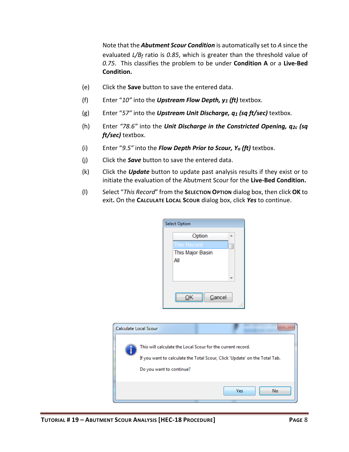Note that the *Abutment Scour Condition* is automatically set to *A* since the evaluated *L/Bf* ratio is *0.85*, which is greater than the threshold value of *0.75*. This classifies the problem to be under **Condition A** or a **Live-Bed Condition.**

- (e) Click the **Save** button to save the entered data.
- (f) Enter "*10"* into the *Upstream Flow Depth, y1 (ft)* textbox.
- (g) Enter "*57"* into the *Upstream Unit Discharge, q1 (sq ft/sec)* textbox.
- (h) Enter *"78.6"* into the *Unit Discharge in the Constricted Opening, q2c (sq ft/sec)* textbox.
- (i) Enter "*9.5"* into the *Flow Depth Prior to Scour, Yo (ft)* textbox.
- (j) Click the *Save* button to save the entered data.
- (k) Click the *Update* button to update past analysis results if they exist or to initiate the evaluation of the Abutment Scour for the **Live-Bed Condition.**
- (l) Select "*This Record*" from the **SELECTION OPTION** dialog box, then click **OK** to exit**.** On the **CALCULATE LOCAL SCOUR** dialog box, click *Yes* to continue.

| <b>Select Option</b> |   |
|----------------------|---|
| Option<br>۸          |   |
| <b>This Record</b>   |   |
| This Major Basin     |   |
| All                  |   |
|                      |   |
|                      |   |
|                      |   |
| Cancel               |   |
|                      | . |

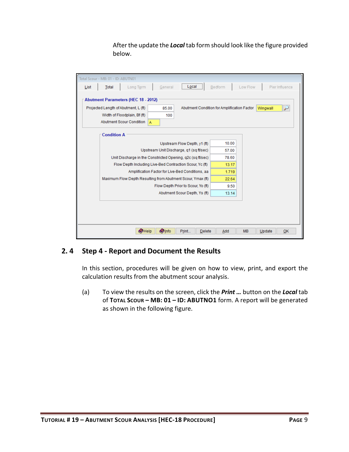After the update the *Local* tab form should look like the figure provided below.

|      | Total Scour - MB: 01 - ID: ABUTN01                       |           |                |                                                             |                               |               |                                             |           |          |                  |
|------|----------------------------------------------------------|-----------|----------------|-------------------------------------------------------------|-------------------------------|---------------|---------------------------------------------|-----------|----------|------------------|
| List | Total                                                    | Long Term |                | General                                                     | Local                         |               | Bedform                                     | Low Flow  |          | Pier Influence   |
|      | <b>Abutment Parameters (HEC 18 - 2012)</b>               |           |                |                                                             |                               |               |                                             |           |          |                  |
|      | Projected Length of Abutment, L (ft)                     |           |                | 85.00                                                       |                               |               | Abutment Condition for Amplification Factor |           | Wingwall | $\overline{\nu}$ |
|      | Width of Floodplain, Bf (ft)<br>Abutment Scour Condition |           |                | 100                                                         |                               |               |                                             |           |          |                  |
|      |                                                          |           | A              |                                                             |                               |               |                                             |           |          |                  |
|      | <b>Condition A</b>                                       |           |                |                                                             |                               |               |                                             |           |          |                  |
|      |                                                          |           |                |                                                             | Upstream Flow Depth, y1 (ft)  |               | 10.00                                       |           |          |                  |
|      |                                                          |           |                | Upstream Unit Discharge, q1 (sq ft/sec)                     |                               |               | 57.00                                       |           |          |                  |
|      |                                                          |           |                | Unit Discharge in the Constricted Opening, q2c (sq ft/sec)  |                               |               | 78.60                                       |           |          |                  |
|      |                                                          |           |                | Flow Depth Including Live-Bed Contraction Scour, Yc (ft)    |                               |               | 13.17                                       |           |          |                  |
|      |                                                          |           |                | Amplification Factor for Live-Bed Conditions, aa            |                               |               | 1.719                                       |           |          |                  |
|      |                                                          |           |                | Maximum Flow Depth Resulting from Abutment Scour, Ymax (ft) |                               |               | 22.64                                       |           |          |                  |
|      |                                                          |           |                | Flow Depth Prior to Scour, Yo (ft)                          |                               |               | 9.50                                        |           |          |                  |
|      |                                                          |           |                |                                                             | Abutment Scour Depth, Ys (ft) |               | 13.14                                       |           |          |                  |
|      |                                                          |           |                |                                                             |                               |               |                                             |           |          |                  |
|      |                                                          |           |                |                                                             |                               |               |                                             |           |          |                  |
|      |                                                          |           |                |                                                             |                               |               |                                             |           |          |                  |
|      |                                                          |           |                |                                                             |                               |               |                                             |           |          |                  |
|      |                                                          |           | $\bullet$ Help | <b>Olnfo</b>                                                | Print                         | <b>Delete</b> | Add                                         | <b>MB</b> | Update   | OK               |

## <span id="page-10-0"></span>**2. 4 Step 4 - Report and Document the Results**

In this section, procedures will be given on how to view, print, and export the calculation results from the abutment scour analysis.

(a) To view the results on the screen, click the *Print …* button on the *Local* tab of **TOTAL SCOUR – MB: 01 – ID: ABUTNO1** form. A report will be generated as shown in the following figure.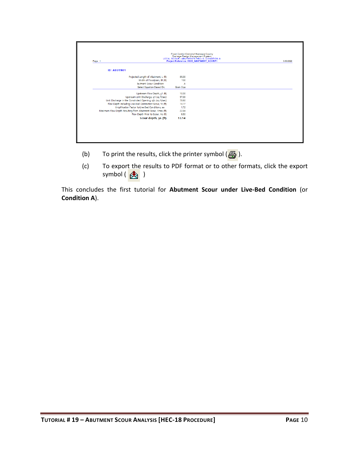| Page 1                                                      | Drainage Design Management System<br>LOCAL SCOUR - ABUTMENTS HEC-18, CONDITION A<br>Project Reference: V605_ABUTMENT_NCHRP1 |  |  |  |  |  |  |
|-------------------------------------------------------------|-----------------------------------------------------------------------------------------------------------------------------|--|--|--|--|--|--|
| <b>ID: ABUTN01</b>                                          |                                                                                                                             |  |  |  |  |  |  |
| Projected Length of Abutment, L (ft)                        | 85.00                                                                                                                       |  |  |  |  |  |  |
| Width of Floodplain, Bf (ft)                                | 100                                                                                                                         |  |  |  |  |  |  |
| butment Scour Condition                                     | A                                                                                                                           |  |  |  |  |  |  |
| Select Equation Based On:                                   | <b>Grain Size</b>                                                                                                           |  |  |  |  |  |  |
| Upstream Flow Depth, y1 (ft)                                | 10.00                                                                                                                       |  |  |  |  |  |  |
| Upstream Unit Discharge, q1 (sq ft/sec)                     | 57.00                                                                                                                       |  |  |  |  |  |  |
| Unit Discharge in the Constricted Opening, q2c (sq ft/sec)  | 78.60                                                                                                                       |  |  |  |  |  |  |
| Flow Depth Including Live-Bed Contraction Scour, Yc (ft)    | 13.17                                                                                                                       |  |  |  |  |  |  |
| Amplification Factor forLive-Bed Conditions, aa             | 1.72                                                                                                                        |  |  |  |  |  |  |
| Maximum Flow Depth Resulting from Abutment Scour, Ymax (ft) | 22.64                                                                                                                       |  |  |  |  |  |  |
| Flow Depth Prior to Scour, Yo (ft)                          | 9.50                                                                                                                        |  |  |  |  |  |  |
| Scour depth, ys (ft)                                        | 13.14                                                                                                                       |  |  |  |  |  |  |

- (b) To print the results, click the printer symbol  $\left(\frac{B}{2}\right)$ .
- (c) To export the results to PDF format or to other formats, click the export symbol  $\left(\begin{array}{c} 1 \\ 1 \end{array}\right)$

This concludes the first tutorial for **Abutment Scour under Live-Bed Condition** (or **Condition A**).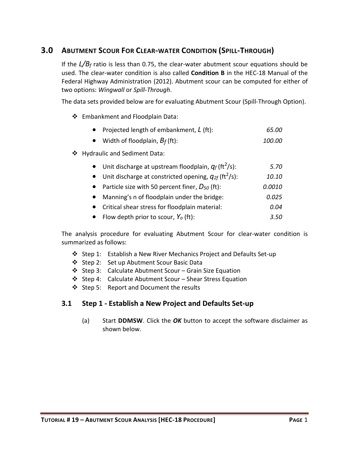## <span id="page-12-0"></span>**3.0 ABUTMENT SCOUR FOR CLEAR-WATER CONDITION (SPILL-THROUGH)**

If the *L/B<sup>f</sup>* ratio is less than 0.75, the clear-water abutment scour equations should be used. The clear-water condition is also called **Condition B** in the HEC-18 Manual of the Federal Highway Administration (2012). Abutment scour can be computed for either of two options: *Wingwall* or *Spill-Through*.

The data sets provided below are for evaluating Abutment Scour (Spill-Through Option).

❖ Embankment and Floodplain Data:

| Projected length of embankment, L (ft):                                            | 65.00  |
|------------------------------------------------------------------------------------|--------|
| Width of floodplain, $B_f$ (ft):<br>$\bullet$                                      | 100.00 |
| ❖ Hydraulic and Sediment Data:                                                     |        |
| Unit discharge at upstream floodplain, $q_f$ (ft <sup>2</sup> /s):<br>$\bullet$    | 5.70   |
| Unit discharge at constricted opening, $q_{2f}$ (ft <sup>2</sup> /s):<br>$\bullet$ | 10.10  |
| Particle size with 50 percent finer, $D_{50}$ (ft):<br>$\bullet$                   | 0.0010 |
| Manning's n of floodplain under the bridge:<br>$\bullet$                           | 0.025  |
| Critical shear stress for floodplain material:<br>$\bullet$                        | 0.04   |
| Flow depth prior to scour, $Y_o$ (ft):<br>$\bullet$                                | 3.50   |

The analysis procedure for evaluating Abutment Scour for clear-water condition is summarized as follows:

- ❖ Step 1: Establish a New River Mechanics Project and Defaults Set-up
- ❖ Step 2: Set up Abutment Scour Basic Data
- ❖ Step 3: Calculate Abutment Scour Grain Size Equation
- ❖ Step 4: Calculate Abutment Scour Shear Stress Equation
- ❖ Step 5: Report and Document the results

## <span id="page-12-1"></span>**3.1 Step 1 - Establish a New Project and Defaults Set-up**

(a) Start **DDMSW**. Click the *OK* button to accept the software disclaimer as shown below.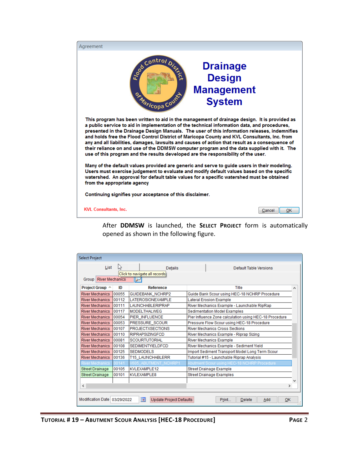

After **DDMSW** is launched, the **SELECT PROJECT** form is automatically opened as shown in the following figure.

| <b>Select Project</b>        |       |                                                            |                                                        |   |
|------------------------------|-------|------------------------------------------------------------|--------------------------------------------------------|---|
| List                         | じと    | <b>Details</b>                                             | Default Table Versions                                 |   |
|                              |       | Click to navigate all records                              |                                                        |   |
| <b>Group River Mechanics</b> |       |                                                            |                                                        |   |
| Project Group A              | ID    | <b>Reference</b>                                           | Title                                                  | ۸ |
| <b>River Mechanics</b>       | 00055 | GUIDEBANK_NCHRP2                                           | Guide Bank Scour using HEC-18 NCHRP Procedure          |   |
| <b>River Mechanics</b>       | 00112 | <b>LATEROSIONEXAMPLE</b>                                   | <b>Lateral Erosion Example</b>                         |   |
| <b>River Mechanics</b>       | 00111 | <b>LAUNCHABLERIPRAP</b>                                    | River Mechanics Example - Launchable RipRap            |   |
| <b>River Mechanics</b>       | 00117 | <b>MODELTHALWEG</b>                                        | Sedimentation Model Examples                           |   |
| <b>River Mechanics</b>       | 00054 | PIER INFLUENCE                                             | Pier Influence Zone calculation using HEC-18 Procedure |   |
| <b>River Mechanics</b>       | 00053 | PRESSURE SCOUR                                             | Pressure Flow Scour using HEC-18 Procedure             |   |
| <b>River Mechanics</b>       | 00107 | <b>PROJECTXSECTIONS</b>                                    | <b>River Mechanics Cross Sections</b>                  |   |
| <b>River Mechanics</b>       | 00110 | <b>RIPRAPSIZINGFCD</b>                                     | River Mechanics Example - Riprap Sizing                |   |
| <b>River Mechanics</b>       | 00081 | <b>SCOURTUTORIAL</b>                                       | <b>River Mechanics Example</b>                         |   |
| <b>River Mechanics</b>       | 00108 | <b>SEDIMENTYIELDFCD</b>                                    | River Mechanics Example - Sediment Yield               |   |
| <b>River Mechanics</b>       | 00125 | <b>SEDMODELS</b>                                           | Import Sediment Transport Model Long Term Scour        |   |
| <b>River Mechanics</b>       | 00136 | <b>T15 LAUNCHABLERR</b>                                    | Tutorial #15 - Launchable Riprap Analysis              |   |
| <b>River Mechanics</b>       | 00141 | V605 ABUTMENT NCHRP1                                       | Abutment Scour using HEC-18 NCHRP Procedure            |   |
| <b>Street Drainage</b>       | 00105 | KVLEXAMPLE12                                               | Street Drainage Example                                |   |
| <b>Street Drainage</b>       | 00101 | <b>KVLEXAMPLE8</b>                                         | Street Drainage Examples                               |   |
|                              |       |                                                            |                                                        |   |
| $\hat{<}$                    |       |                                                            | $\rightarrow$                                          |   |
|                              |       |                                                            |                                                        |   |
| Modification Date 03/29/2022 |       | $\overline{\phantom{a}}$<br><b>Update Project Defaults</b> | Print<br>Delete<br>Add<br>OK                           |   |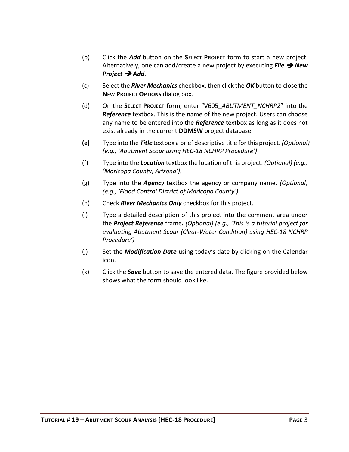- (b) Click the *Add* button on the **SELECT PROJECT** form to start a new project. Alternatively, one can add/create a new project by executing *File* ➔ *New Project* ➔ *Add*.
- (c) Select the *River Mechanics* checkbox, then click the *OK* button to close the **NEW PROJECT OPTIONS** dialog box.
- (d) On the **SELECT PROJECT** form, enter "V605\_*ABUTMENT\_NCHRP2*" into the *Reference* textbox. This is the name of the new project. Users can choose any name to be entered into the *Reference* textbox as long as it does not exist already in the current **DDMSW** project database.
- **(e)** Type into the *Title* textbox a brief descriptive title for this project. *(Optional) (e.g., 'Abutment Scour using HEC-18 NCHRP Procedure')*
- (f) Type into the *Location* textbox the location of this project. *(Optional) (e.g., 'Maricopa County, Arizona').*
- (g) Type into the *Agency* textbox the agency or company name**.** *(Optional) (e.g., 'Flood Control District of Maricopa County')*
- (h) Check *River Mechanics Only* checkbox for this project.
- (i) Type a detailed description of this project into the comment area under the *Project Reference* frame**.** *(Optional) (e.g., 'This is a tutorial project for evaluating Abutment Scour (Clear-Water Condition) using HEC-18 NCHRP Procedure')*
- (j) Set the *Modification Date* using today's date by clicking on the Calendar icon.
- (k) Click the *Save* button to save the entered data. The figure provided below shows what the form should look like.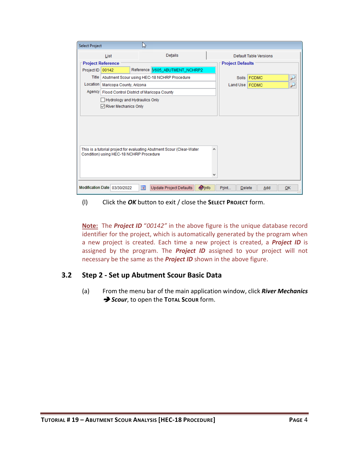| <b>Select Project</b> |                                                    | い                       |                                                                       |               |                         |                        |    |  |
|-----------------------|----------------------------------------------------|-------------------------|-----------------------------------------------------------------------|---------------|-------------------------|------------------------|----|--|
|                       | List                                               |                         | Details                                                               |               |                         | Default Table Versions |    |  |
|                       | <b>Project Reference</b>                           |                         |                                                                       |               | <b>Project Defaults</b> |                        |    |  |
| Project ID            | 00142                                              |                         | Reference   V605_ABUTMENT_NCHRP2                                      |               |                         |                        |    |  |
|                       |                                                    |                         | Title   Abutment Scour using HEC-18 NCHRP Procedure                   |               | <b>Soils</b>            | <b>FCDMC</b>           |    |  |
| Location              | Maricopa County, Arizona                           |                         |                                                                       |               | Land Use   FCDMC        |                        |    |  |
|                       | Agency   Flood Control District of Maricopa County |                         |                                                                       |               |                         |                        |    |  |
|                       | <b>Hydrology and Hydraulics Only</b>               |                         |                                                                       |               |                         |                        |    |  |
|                       | $\sqrt{\phantom{a}}$ River Mechanics Only          |                         |                                                                       |               |                         |                        |    |  |
|                       |                                                    |                         |                                                                       |               |                         |                        |    |  |
|                       |                                                    |                         |                                                                       |               |                         |                        |    |  |
|                       |                                                    |                         |                                                                       |               |                         |                        |    |  |
|                       |                                                    |                         |                                                                       |               |                         |                        |    |  |
|                       |                                                    |                         |                                                                       |               |                         |                        |    |  |
|                       | Condition) using HEC-18 NCHRP Procedure            |                         | This is a tutorial project for evaluating Abutment Scour (Clear-Water | ۸             |                         |                        |    |  |
|                       |                                                    |                         |                                                                       |               |                         |                        |    |  |
|                       |                                                    |                         |                                                                       |               |                         |                        |    |  |
|                       |                                                    |                         |                                                                       |               |                         |                        |    |  |
|                       |                                                    |                         |                                                                       |               |                         |                        |    |  |
|                       | Modification Date 03/30/2022                       | $\overline{\mathbf{R}}$ | <b>Update Project Defaults</b>                                        | <b>O</b> Info | Print<br><b>Delete</b>  | Add                    | OK |  |

(l) Click the *OK* button to exit / close the **SELECT PROJECT** form.

**Note:** The *Project ID* "*00142"* in the above figure is the unique database record identifier for the project, which is automatically generated by the program when a new project is created. Each time a new project is created, a *Project ID* is assigned by the program. The *Project ID* assigned to your project will not necessary be the same as the *Project ID* shown in the above figure.

#### <span id="page-15-0"></span>**3.2 Step 2 - Set up Abutment Scour Basic Data**

(a) From the menu bar of the main application window, click *River Mechanics*  ➔ *Scour*, to open the **TOTAL SCOUR** form.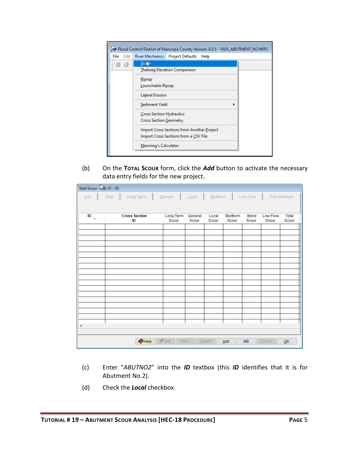|              | Flood Control District of Maricopa County Version: 6.0.5 - V605_ABUTMENT_NCHRP2     |
|--------------|-------------------------------------------------------------------------------------|
| Edit<br>File | River Mechanics   Project Defaults<br>Help                                          |
|              | Scc.<br><b>Thalweg Elevation Comparison</b>                                         |
|              | Riprap<br>Launchable Riprap                                                         |
|              | Lateral Erosion                                                                     |
|              | Sediment Yield                                                                      |
|              | <b>Cross Section Hydraulics</b><br>Cross Section Geometry                           |
|              | Import Cross Sections from Another Project<br>Import Cross Sections from a CSV File |
|              | Manning's Calculator                                                                |

(b) On the **TOTAL SCOUR** form, click the *Add* button to activate the necessary data entry fields for the new project.

| Total Scour - NB: 01 - ID:  |                            |                    |                      |                |                                          |                   |                           |
|-----------------------------|----------------------------|--------------------|----------------------|----------------|------------------------------------------|-------------------|---------------------------|
| $\underline{\mathsf{List}}$ | Total<br>Long Term         | General            | $L\underline{o}$ cal | Bedform        | Low Flow                                 |                   | Pier Influence            |
|                             |                            |                    |                      |                |                                          |                   |                           |
| ID<br>$\Delta$              | <b>Cross Section</b><br>ID | Long Term<br>Scour | General<br>Scour     | Local<br>Scour | <b>Bedform</b><br>Bend<br>Scour<br>Scour | Low Flow<br>Scour | Total<br>Scour            |
|                             |                            |                    |                      |                |                                          |                   |                           |
|                             |                            |                    |                      |                |                                          |                   |                           |
|                             |                            |                    |                      |                |                                          |                   |                           |
|                             |                            |                    |                      |                |                                          |                   |                           |
|                             |                            |                    |                      |                |                                          |                   |                           |
|                             |                            |                    |                      |                |                                          |                   |                           |
|                             |                            |                    |                      |                |                                          |                   |                           |
|                             |                            |                    |                      |                |                                          |                   |                           |
|                             |                            |                    |                      |                |                                          |                   |                           |
|                             |                            |                    |                      |                |                                          |                   |                           |
|                             |                            |                    |                      |                |                                          |                   |                           |
| ∢                           |                            |                    |                      |                |                                          |                   |                           |
|                             |                            |                    |                      |                |                                          |                   |                           |
|                             | $\bigcirc$ Help            | $\sqrt{\ln 10}$    | Print                | Add<br>Delete  | <b>MB</b>                                | Update            | $\underline{\mathsf{OK}}$ |

- (c) Enter "*ABUTNO2*" into the *ID* textbox (this *ID* identifies that it is for Abutment No.2).
- (d) Check the *Local* checkbox.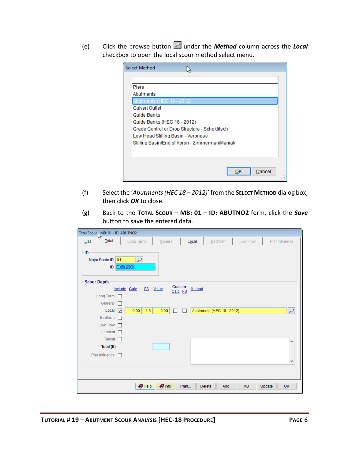(e) Click the browse button under the *Method* column across the *Local* checkbox to open the local scour method select menu.

| <b>Select Method</b>                           |  |
|------------------------------------------------|--|
|                                                |  |
| <b>Piers</b>                                   |  |
| Abutments                                      |  |
| Abutments (HEC 18 - 2012)                      |  |
| <b>Culvert Outlet</b>                          |  |
| Guide Banks                                    |  |
| Guide Banks (HEC 18 - 2012)                    |  |
| Grade Control or Drop Structure - Schoklitsch  |  |
| Low Head Stilling Basin - Veronese             |  |
| Stilling Basin/End of Apron - Zimmerman/Maniak |  |
|                                                |  |
|                                                |  |
|                                                |  |
| Cancel<br>ок                                   |  |
|                                                |  |

- (f) Select the '*Abutments (HEC 18 – 2012)*' from the **SELECT METHOD** dialog box, then click *OK* to close.
- (g) Back to the **TOTAL SCOUR – MB: 01 – ID: ABUTNO2** form, click the *Save* button to save the entered data.

| Total Scour MB: 01 - ID: ABUTNO2          |                                                 |                   |                           |           |                |
|-------------------------------------------|-------------------------------------------------|-------------------|---------------------------|-----------|----------------|
| Total<br>List                             | General<br>Long Term                            | Local             | Bedform                   | Low Flow  | Pier Influence |
| $\sqcap$ ID<br>Major Basin ID<br>01<br>ID | $\overline{\phantom{a}}$<br>ABUTNO <sub>2</sub> |                   |                           |           |                |
| <b>Scour Depth</b>                        |                                                 | Custom            |                           |           |                |
|                                           | Include Calc<br>FS Value                        | Method<br>Calc FS |                           |           |                |
| Long Term  <br>General n                  |                                                 |                   |                           |           |                |
| Local $\boxed{\triangleright}$            | 1.3<br>0.00<br>0.00                             | П<br>П            | Abutments (HEC 18 - 2012) |           | ₽              |
| Bedform $\Box$                            |                                                 |                   |                           |           |                |
| Low Flow $\Box$                           |                                                 |                   |                           |           |                |
| Headcut $\Box$                            |                                                 |                   |                           |           |                |
| Tailcut $\square$                         |                                                 |                   |                           |           | ۸              |
| Total (ft)                                |                                                 |                   |                           |           |                |
| Pier Influence                            |                                                 |                   |                           |           |                |
|                                           |                                                 |                   |                           |           | ٧              |
|                                           |                                                 |                   |                           |           |                |
|                                           |                                                 |                   |                           |           |                |
|                                           | $\bigcirc$ Help<br><b>O</b> Info                | Print             | Delete<br>Add             | <b>MB</b> | QK<br>Update   |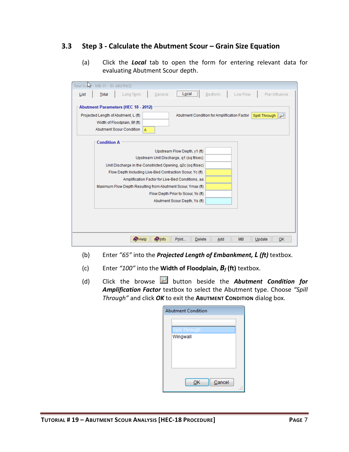#### <span id="page-18-0"></span>**3.3 Step 3 - Calculate the Abutment Scour – Grain Size Equation**

(a) Click the *Local* tab to open the form for entering relevant data for evaluating Abutment Scour depth.

|      | Total Scool - MB: 01 - ID: ABUTNO2                                                                                                                                                                                                                                                                                                                                                          |
|------|---------------------------------------------------------------------------------------------------------------------------------------------------------------------------------------------------------------------------------------------------------------------------------------------------------------------------------------------------------------------------------------------|
| List | Local<br>Pier Influence<br>Long Term<br>Bedform<br>Low Flow<br>Total<br>General                                                                                                                                                                                                                                                                                                             |
|      | <b>Abutment Parameters (HEC 18 - 2012)</b><br>Projected Length of Abutment, L (ft)<br>Abutment Condition for Amplification Factor<br><b>Spill Through</b><br>Width of Floodplain, Bf (ft)<br><b>Abutment Scour Condition</b><br>$\overline{A}$                                                                                                                                              |
|      | <b>Condition A</b>                                                                                                                                                                                                                                                                                                                                                                          |
|      | Upstream Flow Depth, y1 (ft)<br>Upstream Unit Discharge, q1 (sq ft/sec)<br>Unit Discharge in the Constricted Opening, q2c (sq ft/sec)<br>Flow Depth Including Live-Bed Contraction Scour, Yc (ft)<br>Amplification Factor for Live-Bed Conditions, aa<br>Maximum Flow Depth Resulting from Abutment Scour, Ymax (ft)<br>Flow Depth Prior to Scour, Yo (ft)<br>Abutment Scour Depth, Ys (ft) |
|      |                                                                                                                                                                                                                                                                                                                                                                                             |
|      | <b>O</b> Info<br>$\bullet$ Help<br>Print<br>Delete<br><b>MB</b><br>Update<br>OK<br>Add                                                                                                                                                                                                                                                                                                      |

- (b) Enter *"65"* into the *Projected Length of Embankment, L (ft)* textbox.
- (c) Enter *"100"* into the **Width of Floodplain,** *B<sup>f</sup>* **(ft)** textbox.
- (d) Click the browse **button beside the Abutment Condition for** *Amplification Factor* textbox to select the Abutment type. Choose *"Spill Through"* and click *OK* to exit the **ABUTMENT CONDITION** dialog box.

| <b>Abutment Condition</b> |  |
|---------------------------|--|
|                           |  |
| Spill Through             |  |
| Wingwall                  |  |
|                           |  |
|                           |  |
|                           |  |
|                           |  |
| Cancel<br>ок              |  |
|                           |  |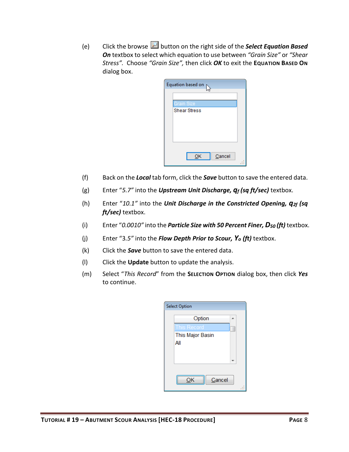(e) Click the browse **button on the right side of the Select Equation Based** *On* textbox to select which equation to use between *"Grain Size"* or *"Shear Stress".* Choose *"Grain Size",* then click *OK* to exit the **EQUATION BASED ON** dialog box.

| Equation based on p               |  |
|-----------------------------------|--|
|                                   |  |
| Grain Size<br><b>Shear Stress</b> |  |
|                                   |  |
|                                   |  |
|                                   |  |
|                                   |  |
| Cancel<br>ОΚ                      |  |
|                                   |  |

- (f) Back on the *Local* tab form, click the *Save* button to save the entered data.
- (g) Enter "*5.7"* into the *Upstream Unit Discharge, q<sup>f</sup> (sq ft/sec)* textbox.
- (h) Enter "*10.1"* into the *Unit Discharge in the Constricted Opening, q2f (sq ft/sec)* textbox.
- (i) Enter "*0.0010"* into the *Particle Size with 50 Percent Finer, D<sup>50</sup> (ft)* textbox.
- (j) Enter "3*.5"* into the *Flow Depth Prior to Scour, Y<sup>o</sup> (ft)* textbox.
- (k) Click the *Save* button to save the entered data.
- (l) Click the **Update** button to update the analysis.
- (m) Select "*This Record*" from the **SELECTION OPTION** dialog box, then click *Yes* to continue.

| <b>Select Option</b> |  |
|----------------------|--|
| Option               |  |
| This Record          |  |
| This Major Basin     |  |
| All                  |  |
|                      |  |
|                      |  |
|                      |  |
| Cancel               |  |
|                      |  |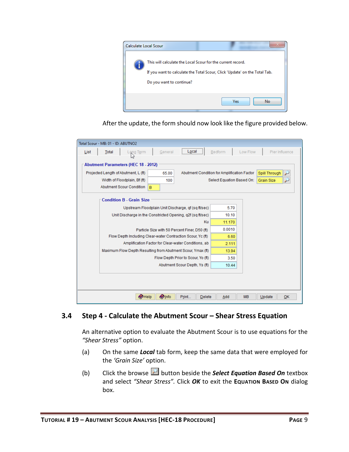

After the update, the form should now look like the figure provided below.

| List                                                                       | Total | Long T <u>e</u> rm                         | General      | Local                                                       | Bedform                   | Low Flow  |                   | Pier Influence |
|----------------------------------------------------------------------------|-------|--------------------------------------------|--------------|-------------------------------------------------------------|---------------------------|-----------|-------------------|----------------|
|                                                                            |       | <b>Abutment Parameters (HEC 18 - 2012)</b> |              |                                                             |                           |           |                   |                |
|                                                                            |       | Projected Length of Abutment, L (ft)       | 65.00        | Abutment Condition for Amplification Factor                 |                           |           | Spill Through     |                |
|                                                                            |       | Width of Floodplain, Bf (ft)               | 100          |                                                             | Select Equation Based On: |           | <b>Grain Size</b> |                |
| <b>Abutment Scour Condition</b><br>B                                       |       |                                            |              |                                                             |                           |           |                   |                |
|                                                                            |       | <b>Condition B - Grain Size</b>            |              |                                                             |                           |           |                   |                |
|                                                                            |       |                                            |              | Upstream Floodplain Unit Discharge, qf (sq ft/sec)          | 5.70                      |           |                   |                |
|                                                                            |       |                                            |              |                                                             | 10.10                     |           |                   |                |
| Unit Discharge in the Constricted Opening, g2f (sq ft/sec)<br>Ku<br>11.170 |       |                                            |              |                                                             |                           |           |                   |                |
| Particle Size with 50 Percent Finer, D50 (ft)                              |       |                                            | 0.0010       |                                                             |                           |           |                   |                |
|                                                                            |       |                                            |              | Flow Depth Including Clear-water Contraction Scour, Yc (ft) | 6.60                      |           |                   |                |
|                                                                            |       |                                            |              | Amplification Factor for Clear-water Conditions, ab         | 2.111                     |           |                   |                |
|                                                                            |       |                                            |              | Maximum Flow Depth Resulting from Abutment Scour, Ymax (ft) | 13.94                     |           |                   |                |
|                                                                            |       |                                            |              | Flow Depth Prior to Scour, Yo (ft)                          | 3.50                      |           |                   |                |
|                                                                            |       |                                            |              | Abutment Scour Depth, Ys (ft)                               | 10.44                     |           |                   |                |
|                                                                            |       |                                            |              |                                                             |                           |           |                   |                |
|                                                                            |       |                                            |              |                                                             |                           |           |                   |                |
|                                                                            |       |                                            |              |                                                             |                           |           |                   |                |
|                                                                            |       | $\bullet$ Help                             | <b>Olnfo</b> | Print<br>Delete                                             | Add                       | <b>MB</b> | Update            | OK             |

#### <span id="page-20-0"></span>**3.4 Step 4 - Calculate the Abutment Scour – Shear Stress Equation**

An alternative option to evaluate the Abutment Scour is to use equations for the *"Shear Stress"* option.

- (a) On the same *Local* tab form, keep the same data that were employed for the *'Grain Size'* option.
- (b) Click the browse **button beside the Select Equation Based On** textbox and select *"Shear Stress".* Click *OK* to exit the **EQUATION BASED ON** dialog box.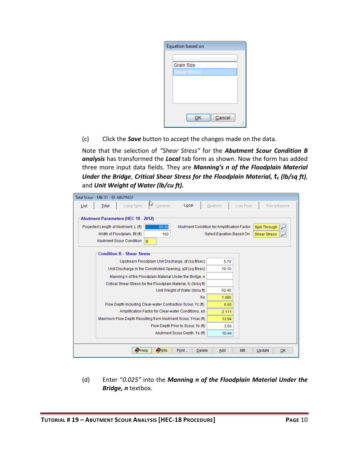

(c) Click the *Save* button to accept the changes made on the data.

Note that the selection of *"Shear Stress"* for the *Abutment Scour Condition B analysis* has transformed the *Local* tab form as shown. Now the form has added three more input data fields. They are *Manning's n of the Floodplain Material Under the Bridge*, *Critical Shear Stress for the Floodplain Material, t<sup>c</sup> (lb/sq ft)*, and *Unit Weight of Water (lb/cu ft).*

| Total Scour - MB: 01 - ID: ABUTNO2                                                          |                                                              |
|---------------------------------------------------------------------------------------------|--------------------------------------------------------------|
| M<br>General<br>Local<br>Long Term<br><b>Total</b><br>List                                  | Bedform<br>Low Flow<br>Pier Influence                        |
| <b>Abutment Parameters (HEC 18 - 2012)</b><br>Projected Length of Abutment, L (ft)<br>65.00 | Abutment Condition for Amplification Factor<br>Spill Through |
| Width of Floodplain, Bf (ft)<br>100                                                         | Select Equation Based On:<br><b>Shear Stress</b>             |
| Abutment Scour Condition<br>B                                                               |                                                              |
| <b>Condition B - Shear Stress</b>                                                           |                                                              |
| Upstream Floodplain Unit Discharge, qf (sq ft/sec)                                          | 5.70                                                         |
| Unit Discharge in the Constricted Opening, g2f (sq ft/sec)                                  | 10.10                                                        |
| Manning n of the Floodplain Material Under the Bridge, n                                    |                                                              |
| Critical Shear Stress for the Floodplain Material, tc (Ib/sq ft)                            |                                                              |
| Unit Weight of Water (Ib/cu ft)                                                             | 62.40                                                        |
| Ku                                                                                          | 1.486                                                        |
| Flow Depth Including Clear-water Contraction Scour, Yc (ft)                                 | 6.60                                                         |
| Amplification Factor for Clear-water Conditions, ab                                         | 2.111                                                        |
| Maximum Flow Depth Resulting from Abutment Scour, Ymax (ft)                                 | 13.94                                                        |
| Flow Depth Prior to Scour, Yo (ft)                                                          | 3.50                                                         |
| Abutment Scour Depth, Ys (ft)                                                               | 10.44                                                        |
|                                                                                             |                                                              |
| <b>Olnfo</b><br>$\bullet$ Help<br>Print<br>Delete                                           | <b>MB</b><br>OK<br>Add<br>Update                             |

(d) Enter "*0.025"* into the *Manning n of the Floodplain Material Under the Bridge, n* textbox.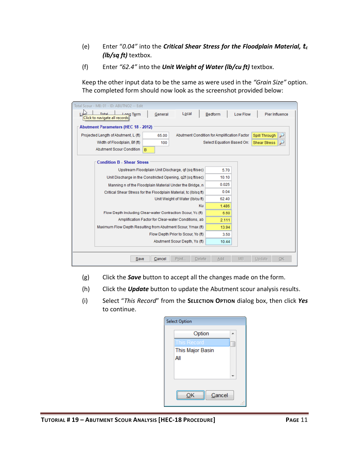- (e) Enter "*0.04"* into the *Critical Shear Stress for the Floodplain Material, t<sup>c</sup> (lb/sq ft)* textbox.
- (f) Enter *"62.4"* into the *Unit Weight of Water (lb/cu ft)* textbox.

Keep the other input data to be the same as were used in the *"Grain Size"* option. The completed form should now look as the screenshot provided below:

| Total Scour - MB: 01 - ID: ABUTNO2 -- Edit                               |                                                              |
|--------------------------------------------------------------------------|--------------------------------------------------------------|
| Total<br>Local<br>General<br>Term وهملا<br>Click to navigate all records | Pier Influence<br>Bedform<br>Low Flow                        |
|                                                                          |                                                              |
| <b>Abutment Parameters (HEC 18 - 2012)</b>                               |                                                              |
| Projected Length of Abutment, L (ft)<br>65.00                            | Abutment Condition for Amplification Factor<br>Spill Through |
| Width of Floodplain, Bf (ft)<br>100                                      | Select Equation Based On:<br><b>Shear Stress</b>             |
| Abutment Scour Condition<br>B                                            |                                                              |
| <b>Condition B - Shear Stress</b>                                        |                                                              |
|                                                                          |                                                              |
| Upstream Floodplain Unit Discharge, qf (sq ft/sec)                       | 5.70                                                         |
| Unit Discharge in the Constricted Opening, g2f (sg ft/sec)               | 10.10                                                        |
| Manning n of the Floodplain Material Under the Bridge, n                 | 0.025                                                        |
| Critical Shear Stress for the Floodplain Material, tc (Ib/sq ft)         | 0.04                                                         |
| Unit Weight of Water (Ib/cu ft)                                          | 62.40                                                        |
| Ku                                                                       | 1.486                                                        |
| Flow Depth Including Clear-water Contraction Scour, Yc (ft)<br>6.60      |                                                              |
| Amplification Factor for Clear-water Conditions, ab<br>2.111             |                                                              |
| Maximum Flow Depth Resulting from Abutment Scour, Ymax (ft)              | 13.94                                                        |
| Flow Depth Prior to Scour, Yo (ft)                                       | 3.50                                                         |
| Abutment Scour Depth, Ys (ft)                                            | 10.44                                                        |
|                                                                          |                                                              |
| Cancel<br>Print<br>Save<br>Delete                                        | <b>MB</b><br>OK<br>Add<br>Update                             |

- (g) Click the *Save* button to accept all the changes made on the form.
- (h) Click the *Update* button to update the Abutment scour analysis results.
- (i) Select "*This Record*" from the **SELECTION OPTION** dialog box, then click *Yes* to continue.

| <b>Select Option</b> |    |
|----------------------|----|
| Option               |    |
| This Record          |    |
| This Major Basin     |    |
| All                  |    |
|                      |    |
|                      |    |
|                      |    |
| Cancel               |    |
|                      | ×. |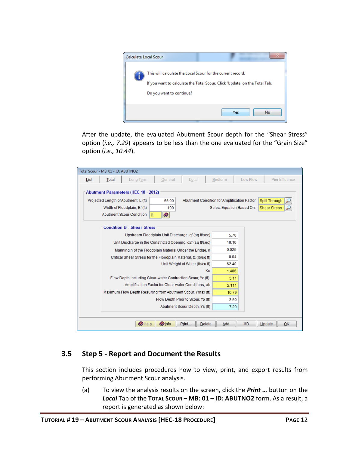

After the update, the evaluated Abutment Scour depth for the "Shear Stress" option (*i.e., 7.29*) appears to be less than the one evaluated for the "Grain Size" option (*i.e., 10.44*).

| Total Scour - MB: 01 - ID: ABUTNO2                                                                                                                                                      |                                                                                                                         |
|-----------------------------------------------------------------------------------------------------------------------------------------------------------------------------------------|-------------------------------------------------------------------------------------------------------------------------|
| General<br>Total<br>Long Term<br>Local<br>List                                                                                                                                          | Bedform<br>Low Flow<br>Pier Influence                                                                                   |
| <b>Abutment Parameters (HEC 18 - 2012)</b><br>Projected Length of Abutment, L (ft)<br>65.00<br>Width of Floodplain, Bf (ft)<br>100<br>$\bullet$<br><b>Abutment Scour Condition</b><br>B | Abutment Condition for Amplification Factor<br><b>Spill Through</b><br>Select Equation Based On:<br><b>Shear Stress</b> |
| <b>Condition B - Shear Stress</b>                                                                                                                                                       |                                                                                                                         |
| Upstream Floodplain Unit Discharge, of (sq ft/sec)                                                                                                                                      | 5.70                                                                                                                    |
| Unit Discharge in the Constricted Opening, q2f (sq ft/sec)                                                                                                                              | 10.10                                                                                                                   |
| Manning n of the Floodplain Material Under the Bridge, n                                                                                                                                | 0.025                                                                                                                   |
| Critical Shear Stress for the Floodplain Material, tc (Ib/sq ft)                                                                                                                        | 0.04                                                                                                                    |
| Unit Weight of Water (Ib/cu ft)                                                                                                                                                         | 62.40                                                                                                                   |
| Ku                                                                                                                                                                                      | 1.486                                                                                                                   |
| Flow Depth Including Clear-water Contraction Scour, Yc (ft)                                                                                                                             | 5.11                                                                                                                    |
| Amplification Factor for Clear-water Conditions, ab                                                                                                                                     | 2.111                                                                                                                   |
| Maximum Flow Depth Resulting from Abutment Scour, Ymax (ft)                                                                                                                             | 10.79                                                                                                                   |
| Flow Depth Prior to Scour, Yo (ft)                                                                                                                                                      | 3.50                                                                                                                    |
| Abutment Scour Depth, Ys (ft)                                                                                                                                                           | 7.29                                                                                                                    |
|                                                                                                                                                                                         |                                                                                                                         |
| $\bullet$ Help<br><b>Olnfo</b><br>Print<br>Delete                                                                                                                                       | <b>MB</b><br>QK<br>Add<br>Update                                                                                        |

#### <span id="page-23-0"></span>**3.5 Step 5 - Report and Document the Results**

This section includes procedures how to view, print, and export results from performing Abutment Scour analysis.

(a) To view the analysis results on the screen, click the *Print …* button on the *Local* Tab of the **TOTAL SCOUR – MB: 01 – ID: ABUTNO2** form. As a result, a report is generated as shown below: